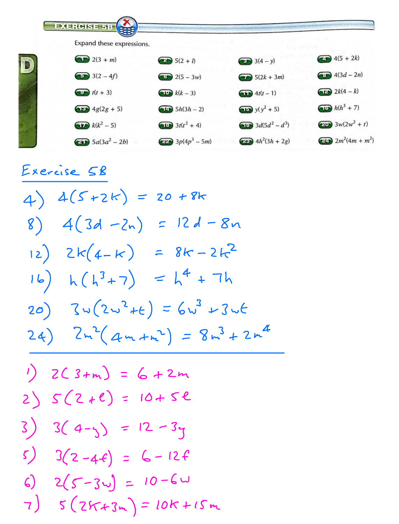**EXERCISE 53** Expand these expressions.  $\bigcirc$  2(3 + m)  $4(5 + 2k)$  $\bigoplus$  5(2 + 1)  $\bullet$  3(4 - y)  $\bigoplus$  4(3*d* – 2*n*)  $\bigodot$  3(2 – 4f)  $\bigcirc$  2(5 - 3w)  $\bigcirc$  5(2k + 3m)  $\left( -\frac{1}{2} \right) 2k(4-k)$  $t(t+3)$  $\left(\begin{array}{c}\text{d} \\ \text{d} \end{array}\right) k(k-3)$  $\bigoplus$  4t(t - 1)  $(15)$   $h(h^3 + 7)$  $\left(18\right)$  4g(2g + 5)  $(b)$  5 $h(3h - 2)$  $\bigoplus$  y(y<sup>2</sup> + 5)  $2w^2 + t$  $(k^2 - 5)$  $(11)$   $3t(t^2 + 4)$  $(18)$  3d(5d<sup>2</sup> – d<sup>3</sup>)  $F(4m + m^2)$  $\left(4h^2(3h+2g)\right)$  $2b$  5a(3a<sup>2</sup> – 2b)  $222 \cdot 3p(4p^3 - 5m)$ 

Exercise 58

 $4) 4(5+2k) = 20 + 8k$ 8)  $4(3d - 2n) = 12d - 8n$ 12)  $2k(4-k) = 8k-2k^2$ 16)  $h(h^{3}+7) = h^{4}+7h$ 20)  $3w(2w^2+t) = 6w^3 + 3wt$ 24)  $2m^{2}(4m+m^{2}) = 8m^{3} + 2m^{4}$ 

1) 
$$
2(3+m) = 6 + 2m
$$
  
\n2)  $5(2+e) = 10+5e$   
\n3)  $3(4-y) = 12-3y$   
\n5)  $3(2-4e) = 6-12e$   
\n6)  $2(5-3w) = 10-6w$   
\n7)  $5(25+3m) = 10k+15m$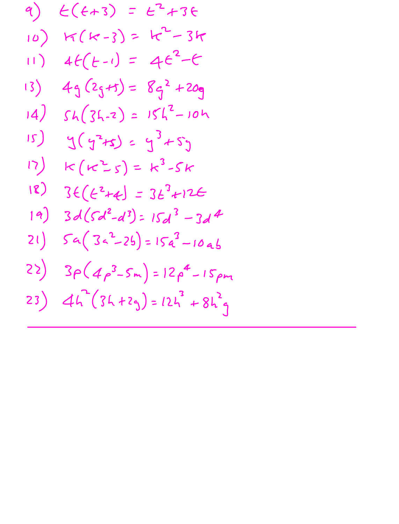9) 
$$
E(4+3) = E^{2}+36
$$
  
\n10)  $K(k-3) = k^{2}-3k$   
\n11)  $4E(-1) = 4e^{2}-6$   
\n13)  $49(25+1) = 86^{2}+209$   
\n14)  $5h(36-2) = 15h^{2}-10h$   
\n15)  $9(5^{2}+5) = 15^{2}-5k$   
\n17)  $k(k^{2}-5) = k^{3}-5k$   
\n18)  $36(6^{2}-d^{3}) = 15d^{3}-3d^{4}$   
\n21)  $5a(3a^{2}-2b) = 15a^{3}-10ab$   
\n22)  $3p(4p^{3}-5m) = 12p^{4}-15pm$   
\n23)  $4h^{2}(36+29) = 12h^{3}+8h^{2}g$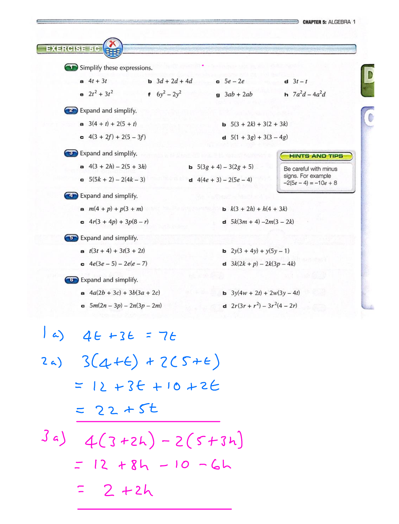

 $a)$   $46 + 36 = 76$ 

- $24)$   $3(4+6) + 2(5+6)$  $= 12 + 36 + 10 + 26$  $=22+5t$
- $3a) 4(3+2h) 2(5+3h)$  $= 12 + 84 - 10 - 64$  $= 2 + 2h$